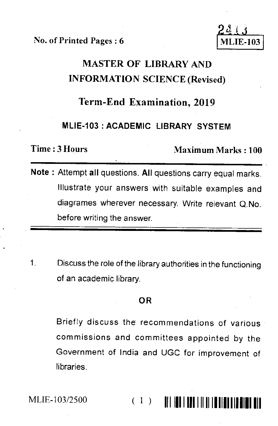No. of Printed Pages : 6

# MASTER OF LIBRARY AND INFORMATION SCIENCE (Revised)

### Term-End Examination, 2019

#### **MLIE-103 : ACADEMIC LIBRARY SYSTEM**

Time : 3 Hours Maximum Marks : 100

- **Note :** Attempt all questions. **All** questions carry equal marks. Illustrate your answers with suitable examples and diagrames wherever necessary. Write relevant Q.No. before writing the answer.
- $\mathbf{1}$ Discuss the role of the library authorities in the functioning of an academic library.

#### **OR**

Briefly discuss the recommendations of various commissions and committees appointed by the Government of India and UGC for improvement of libraries.

MLIE-103/2500

# ( 1) 111119111111111111111111111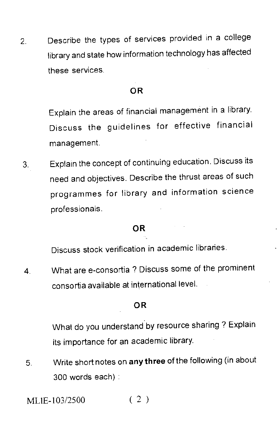2. Describe the types of services provided in a college library and state how information technology has affected these services.

#### OR

Explain the areas of financial management in a library. Discuss the guidelines for effective financial management.

Explain the concept of continuing education. Discuss its 3. need and objectives. Describe the thrust areas of such programmes for library and information science professionals.

#### OR

Discuss stock verification in academic libraries.

4. What are e-consortia ? Discuss some of the prominent consortia available at international level.

#### OR

What do you understand by resource sharing ? Explain its importance for an academic library.

5. Write short notes on any three of the following (in about 300 words each) :

MLIE-103/2500 ( 2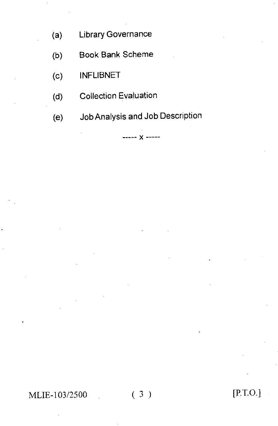- (a) Library Governance
- (b) Book Bank Scheme
- (c) INFLIBNET
- (d) Collection Evaluation
- (e) Job Analysis and Job Description

 $--- x$ 

MLIE-103/2500 (3) [P.T.O.]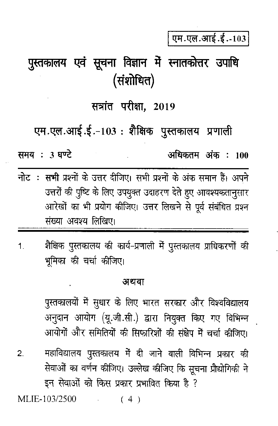एम.एल.आई.ई.-103

# पुस्तकालय एवं सूचना विज्ञान में स्नातकोत्तर उपाधि (संशोधित)

### सत्रांत परीक्षा. 2019

# एम.एल.आई.ई.-103 : शैक्षिक पुस्तकालय प्रणाली

अधिकतम अंक : 100

समय: 3 घण्टे

- नोट: सभी प्रश्नों के उत्तर दीजिए। सभी प्रश्नों के अंक समान हैं। अपने उत्तरों की पुष्टि के लिए उपयुक्त उदाहरण देते हुए आवश्यकतानुसार आरेखों का भी प्रयोग कीजिए। उत्तर लिखने से पूर्व संबंधित प्रश्न संख्या अवश्य लिखिए।
- शैक्षिक पुस्तकालय की कार्य-प्रणाली में पुस्तकालय प्राधिकरणों की  $\blacktriangleleft$ भूमिका की चर्चा कीजिए।

#### अथवा

पुस्तकालयों में सुधार के लिए भारत सरकार और विश्वविद्यालय अनुदान आयोग (यू.जी.सी.) द्वारा नियुक्त किए गए विभिन्न आयोगों और समितियों की सिफारिशों की संक्षेप में चर्चा कीजिए।

महाविद्यालय पुस्तकालय में दी जाने वाली विभिन्न प्रकार की  $\overline{2}$ सेवाओं का वर्णन कीजिए। उल्लेख कीजिए कि सूचना प्रौद्योगिकी ने इन सेवाओं को किस प्रकार प्रभावित किया है ?

MLIE-103/2500  $(4)$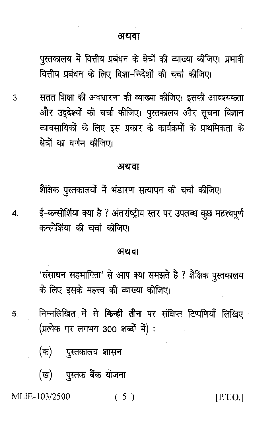पुस्तकालय में वित्तीय प्रबंधन के क्षेत्रों की व्याख्या कीजिए। प्रभावी वित्तीय प्रबंधन के लिए दिशा-निर्देशों की चर्चा कीजिए।

सतत शिक्षा की अवधारणा की व्याख्या कीजिए। इसकी आवश्यकता  $3<sub>l</sub>$ और उद्देश्यों की चर्चा कीजिए। पुस्तकालय और सूचना विज्ञान व्यावसायिकों के लिए इस प्रकार के कार्यक्रमों के प्राथमिकता के क्षेत्रों का वर्णन कीजिए।

#### अथवा

शैक्षिक पुस्तकालयों में भंडारण सत्यापन की चर्चा कीजिए।

ई-कन्सोर्शिया क्या है ? अंतर्राष्ट्रीय स्तर पर उपलब्ध कुछ महत्त्वपूर्ण कन्सोशिया की चर्चा कीजिए।

#### अथवा

'संसाधन सहभागिता' से आप क्या समझते हैं ? शैक्षिक पुस्तकालय के लिए इसके महत्त्व की व्याख्या कीजिए।

- निम्नलिखित में से किन्हीं तीन पर संक्षिप्त टिप्पणियाँ लिखिए 5. (प्रत्येक पर लगभग 300 शब्दों में) :
	- (क) पुस्तकालय शासन
	- (ख) पुस्तक बैंक योजना

MLIE-103/2500

 $\overline{\mathbf{4}}$ 

 $(5)$